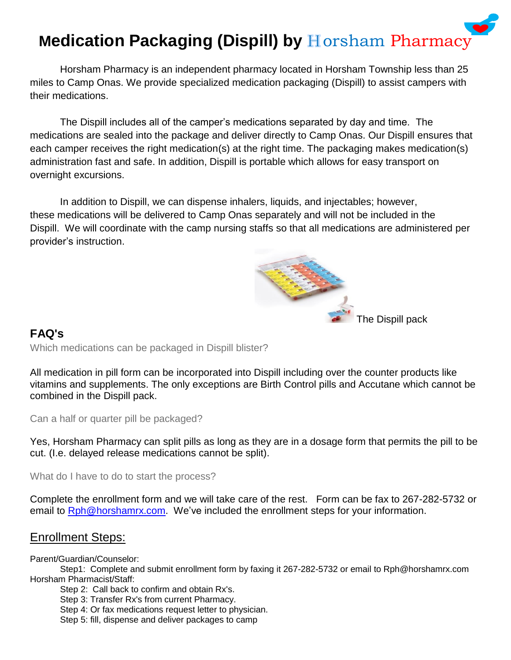# **Medication Packaging (Dispill) by Horsham Pharmacy**

Horsham Pharmacy is an independent pharmacy located in Horsham Township less than 25 miles to Camp Onas. We provide specialized medication packaging (Dispill) to assist campers with their medications.

The Dispill includes all of the camper's medications separated by day and time. The medications are sealed into the package and deliver directly to Camp Onas. Our Dispill ensures that each camper receives the right medication(s) at the right time. The packaging makes medication(s) administration fast and safe. In addition, Dispill is portable which allows for easy transport on overnight excursions.

In addition to Dispill, we can dispense inhalers, liquids, and injectables; however, these medications will be delivered to Camp Onas separately and will not be included in the Dispill. We will coordinate with the camp nursing staffs so that all medications are administered per provider's instruction.

The Dispill pack

## **FAQ's**

Which medications can be packaged in Dispill blister?

All medication in pill form can be incorporated into Dispill including over the counter products like vitamins and supplements. The only exceptions are Birth Control pills and Accutane which cannot be combined in the Dispill pack.

Can a half or quarter pill be packaged?

Yes, Horsham Pharmacy can split pills as long as they are in a dosage form that permits the pill to be cut. (I.e. delayed release medications cannot be split).

What do I have to do to start the process?

Complete the enrollment form and we will take care of the rest. Form can be fax to 267-282-5732 or email to [Rph@horshamrx.com.](mailto:Rph@horshamrx.com) We've included the enrollment steps for your information.

## Enrollment Steps:

Parent/Guardian/Counselor:

Step1: Complete and submit enrollment form by faxing it 267-282-5732 or email to Rph@horshamrx.com Horsham Pharmacist/Staff:

Step 2: Call back to confirm and obtain Rx's.

Step 3: Transfer Rx's from current Pharmacy.

Step 4: Or fax medications request letter to physician.

Step 5: fill, dispense and deliver packages to camp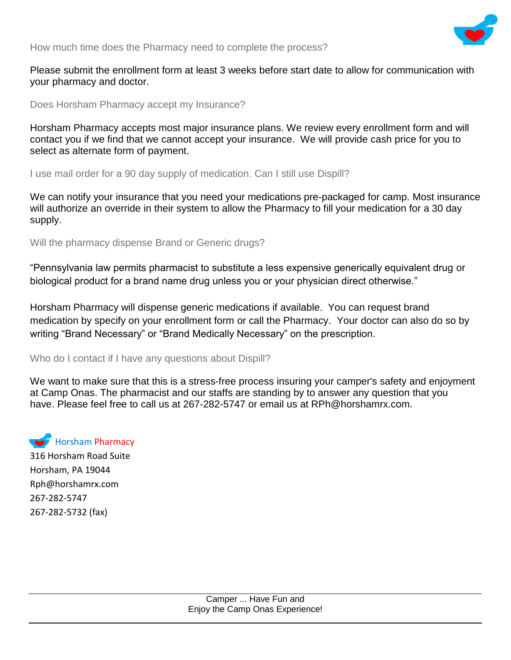

How much time does the Pharmacy need to complete the process?

Please submit the enrollment form at least 3 weeks before start date to allow for communication with your pharmacy and doctor.

Does Horsham Pharmacy accept my Insurance?

Horsham Pharmacy accepts most major insurance plans. We review every enrollment form and will contact you if we find that we cannot accept your insurance. We will provide cash price for you to select as alternate form of payment.

I use mail order for a 90 day supply of medication. Can I still use Dispill?

We can notify your insurance that you need your medications pre-packaged for camp. Most insurance will authorize an override in their system to allow the Pharmacy to fill your medication for a 30 day supply.

Will the pharmacy dispense Brand or Generic drugs?

"Pennsylvania law permits pharmacist to substitute a less expensive generically equivalent drug or biological product for a brand name drug unless you or your physician direct otherwise."

Horsham Pharmacy will dispense generic medications if available. You can request brand medication by specify on your enrollment form or call the Pharmacy. Your doctor can also do so by writing "Brand Necessary" or "Brand Medically Necessary" on the prescription.

#### Who do I contact if I have any questions about Dispill?

We want to make sure that this is a stress-free process insuring your camper's safety and enjoyment at Camp Onas. The pharmacist and our staffs are standing by to answer any question that you have. Please feel free to call us at 267-282-5747 or email us at RPh@horshamrx.com.

Horsham Pharmacy

316 Horsham Road Suite Horsham, PA 19044 Rph@horshamrx.com 267-282-5747 267-282-5732 (fax)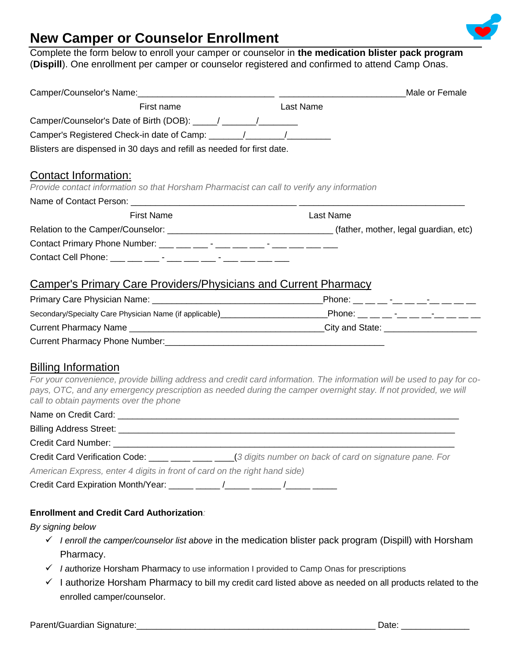

# **New Camper or Counselor Enrollment**

Complete the form below to enroll your camper or counselor in **the medication blister pack program** (**Dispill**). One enrollment per camper or counselor registered and confirmed to attend Camp Onas.

|                                                                                                                          | Male or Female                                                                                                                                                                                                    |
|--------------------------------------------------------------------------------------------------------------------------|-------------------------------------------------------------------------------------------------------------------------------------------------------------------------------------------------------------------|
| First name                                                                                                               | <b>Last Name</b>                                                                                                                                                                                                  |
| Camper/Counselor's Date of Birth (DOB): ____/ ______/                                                                    |                                                                                                                                                                                                                   |
|                                                                                                                          |                                                                                                                                                                                                                   |
| Blisters are dispensed in 30 days and refill as needed for first date.                                                   |                                                                                                                                                                                                                   |
|                                                                                                                          |                                                                                                                                                                                                                   |
| <b>Contact Information:</b><br>Provide contact information so that Horsham Pharmacist can call to verify any information |                                                                                                                                                                                                                   |
|                                                                                                                          |                                                                                                                                                                                                                   |
| <b>First Name</b>                                                                                                        | <b>Last Name</b>                                                                                                                                                                                                  |
|                                                                                                                          |                                                                                                                                                                                                                   |
|                                                                                                                          |                                                                                                                                                                                                                   |
|                                                                                                                          |                                                                                                                                                                                                                   |
|                                                                                                                          |                                                                                                                                                                                                                   |
| <b>Camper's Primary Care Providers/Physicians and Current Pharmacy</b>                                                   |                                                                                                                                                                                                                   |
|                                                                                                                          |                                                                                                                                                                                                                   |
|                                                                                                                          | Secondary/Specialty Care Physician Name (if applicable)<br><u> Carl Anglicable</u> (Phone: <u> Carl Anglicable</u> (Phone: <u>Carl Anglicable (Phone:  Carl Anglicable</u> (Phone: <u>Carl Anglicable</u> (Phone: |
|                                                                                                                          |                                                                                                                                                                                                                   |
|                                                                                                                          |                                                                                                                                                                                                                   |
|                                                                                                                          |                                                                                                                                                                                                                   |
| <b>Billing Information</b>                                                                                               |                                                                                                                                                                                                                   |
| pays, OTC, and any emergency prescription as needed during the camper overnight stay. If not provided, we will           | For your convenience, provide billing address and credit card information. The information will be used to pay for co-                                                                                            |
| call to obtain payments over the phone                                                                                   |                                                                                                                                                                                                                   |
|                                                                                                                          |                                                                                                                                                                                                                   |
|                                                                                                                          |                                                                                                                                                                                                                   |
|                                                                                                                          |                                                                                                                                                                                                                   |
| Credit Card Verification Code: ____ ____ ___ ___ (3 digits number on back of card on signature pane. For                 |                                                                                                                                                                                                                   |
| American Express, enter 4 digits in front of card on the right hand side)                                                |                                                                                                                                                                                                                   |
|                                                                                                                          |                                                                                                                                                                                                                   |

#### **Enrollment and Credit Card Authorization***:*

*By signing below*

- *I enroll the camper/counselor list above* in the medication blister pack program (Dispill) with Horsham Pharmacy.
- *I au*thorize Horsham Pharmacy to use information I provided to Camp Onas for prescriptions
- $\checkmark$  I authorize Horsham Pharmacy to bill my credit card listed above as needed on all products related to the enrolled camper/counselor.